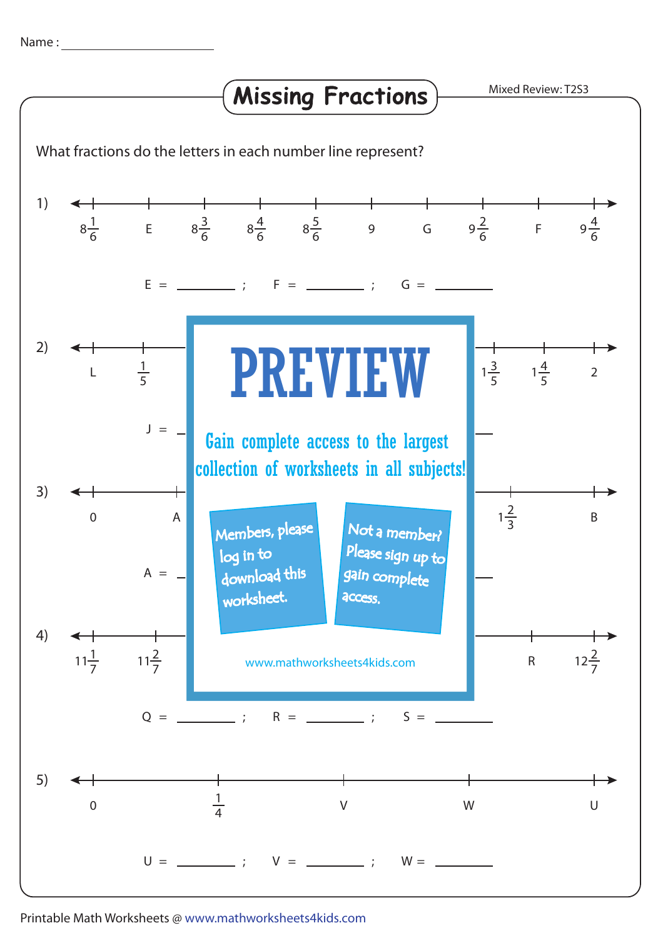